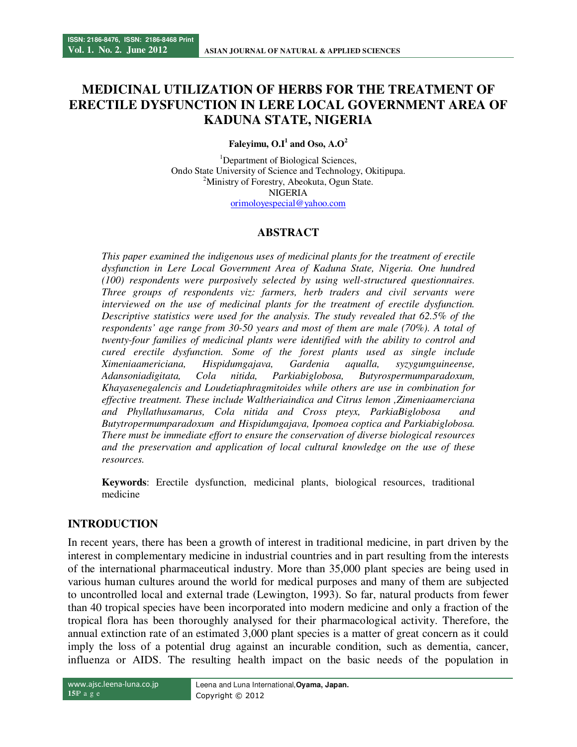# **MEDICINAL UTILIZATION OF HERBS FOR THE TREATMENT OF ERECTILE DYSFUNCTION IN LERE LOCAL GOVERNMENT AREA OF KADUNA STATE, NIGERIA**

Faleyimu,  $O.I<sup>1</sup>$  and Oso,  $A.O<sup>2</sup>$ 

<sup>1</sup>Department of Biological Sciences, Ondo State University of Science and Technology, Okitipupa. <sup>2</sup>Ministry of Forestry, Abeokuta, Ogun State. NIGERIA orimoloyespecial@yahoo.com

### **ABSTRACT**

*This paper examined the indigenous uses of medicinal plants for the treatment of erectile dysfunction in Lere Local Government Area of Kaduna State, Nigeria. One hundred (100) respondents were purposively selected by using well-structured questionnaires. Three groups of respondents viz: farmers, herb traders and civil servants were interviewed on the use of medicinal plants for the treatment of erectile dysfunction. Descriptive statistics were used for the analysis. The study revealed that 62.5% of the respondents' age range from 30-50 years and most of them are male (70%). A total of twenty-four families of medicinal plants were identified with the ability to control and cured erectile dysfunction. Some of the forest plants used as single include Ximeniaamericiana, Hispidumgajava, Gardenia aqualla, syzygumguineense, Adansoniadigitata, Cola nitida, Parkiabiglobosa, Butyrospermumparadoxum, Khayasenegalencis and Loudetiaphragmitoides while others are use in combination for effective treatment. These include Waltheriaindica and Citrus lemon ,Zimeniaamerciana and Phyllathusamarus, Cola nitida and Cross pteyx, ParkiaBiglobosa and Butytropermumparadoxum and Hispidumgajava, Ipomoea coptica and Parkiabiglobosa. There must be immediate effort to ensure the conservation of diverse biological resources and the preservation and application of local cultural knowledge on the use of these resources.*

**Keywords**: Erectile dysfunction, medicinal plants, biological resources, traditional medicine

### **INTRODUCTION**

In recent years, there has been a growth of interest in traditional medicine, in part driven by the interest in complementary medicine in industrial countries and in part resulting from the interests of the international pharmaceutical industry. More than 35,000 plant species are being used in various human cultures around the world for medical purposes and many of them are subjected to uncontrolled local and external trade (Lewington, 1993). So far, natural products from fewer than 40 tropical species have been incorporated into modern medicine and only a fraction of the tropical flora has been thoroughly analysed for their pharmacological activity. Therefore, the annual extinction rate of an estimated 3,000 plant species is a matter of great concern as it could imply the loss of a potential drug against an incurable condition, such as dementia, cancer, influenza or AIDS. The resulting health impact on the basic needs of the population in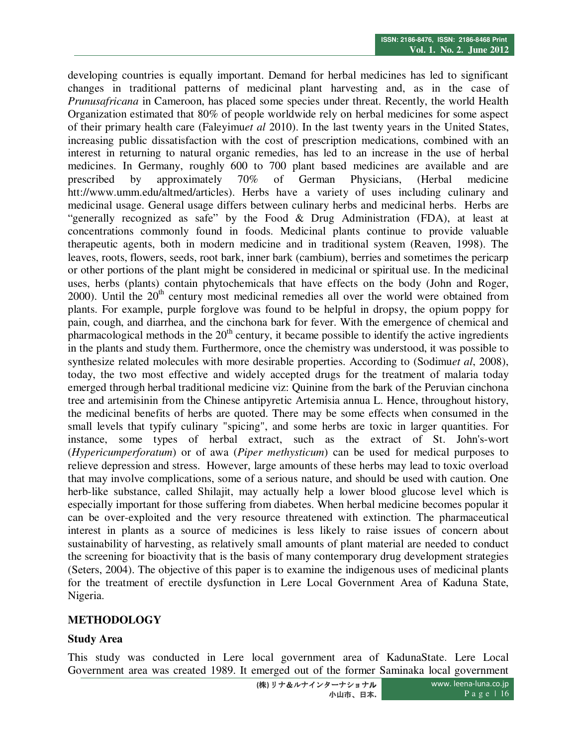developing countries is equally important. Demand for herbal medicines has led to significant changes in traditional patterns of medicinal plant harvesting and, as in the case of *Prunusafricana* in Cameroon, has placed some species under threat. Recently, the world Health Organization estimated that 80% of people worldwide rely on herbal medicines for some aspect of their primary health care (Faleyimu*et al* 2010). In the last twenty years in the United States, increasing public dissatisfaction with the cost of prescription medications, combined with an interest in returning to natural organic remedies, has led to an increase in the use of herbal medicines. In Germany, roughly 600 to 700 plant based medicines are available and are prescribed by approximately 70% of German Physicians, (Herbal medicine htt://www.umm.edu/altmed/articles). Herbs have a variety of uses including culinary and medicinal usage. General usage differs between culinary herbs and medicinal herbs. Herbs are "generally recognized as safe" by the Food & Drug Administration (FDA), at least at concentrations commonly found in foods. Medicinal plants continue to provide valuable therapeutic agents, both in modern medicine and in traditional system (Reaven, 1998). The leaves, roots, flowers, seeds, root bark, inner bark (cambium), berries and sometimes the pericarp or other portions of the plant might be considered in medicinal or spiritual use. In the medicinal uses, herbs (plants) contain phytochemicals that have effects on the body (John and Roger, 2000). Until the  $20<sup>th</sup>$  century most medicinal remedies all over the world were obtained from plants. For example, purple forglove was found to be helpful in dropsy, the opium poppy for pain, cough, and diarrhea, and the cinchona bark for fever. With the emergence of chemical and pharmacological methods in the  $20<sup>th</sup>$  century, it became possible to identify the active ingredients in the plants and study them. Furthermore, once the chemistry was understood, it was possible to synthesize related molecules with more desirable properties. According to (Sodimu*et al*, 2008), today, the two most effective and widely accepted drugs for the treatment of malaria today emerged through herbal traditional medicine viz: Quinine from the bark of the Peruvian cinchona tree and artemisinin from the Chinese antipyretic Artemisia annua L. Hence, throughout history, the medicinal benefits of herbs are quoted. There may be some effects when consumed in the small levels that typify culinary "spicing", and some herbs are toxic in larger quantities. For instance, some types of herbal extract, such as the extract of St. John's-wort (*Hypericumperforatum*) or of awa (*Piper methysticum*) can be used for medical purposes to relieve depression and stress. However, large amounts of these herbs may lead to toxic overload that may involve complications, some of a serious nature, and should be used with caution. One herb-like substance, called Shilajit, may actually help a lower blood glucose level which is especially important for those suffering from diabetes. When herbal medicine becomes popular it can be over-exploited and the very resource threatened with extinction. The pharmaceutical interest in plants as a source of medicines is less likely to raise issues of concern about sustainability of harvesting, as relatively small amounts of plant material are needed to conduct the screening for bioactivity that is the basis of many contemporary drug development strategies (Seters, 2004). The objective of this paper is to examine the indigenous uses of medicinal plants for the treatment of erectile dysfunction in Lere Local Government Area of Kaduna State, Nigeria.

# **METHODOLOGY**

### **Study Area**

This study was conducted in Lere local government area of KadunaState. Lere Local Government area was created 1989. It emerged out of the former Saminaka local government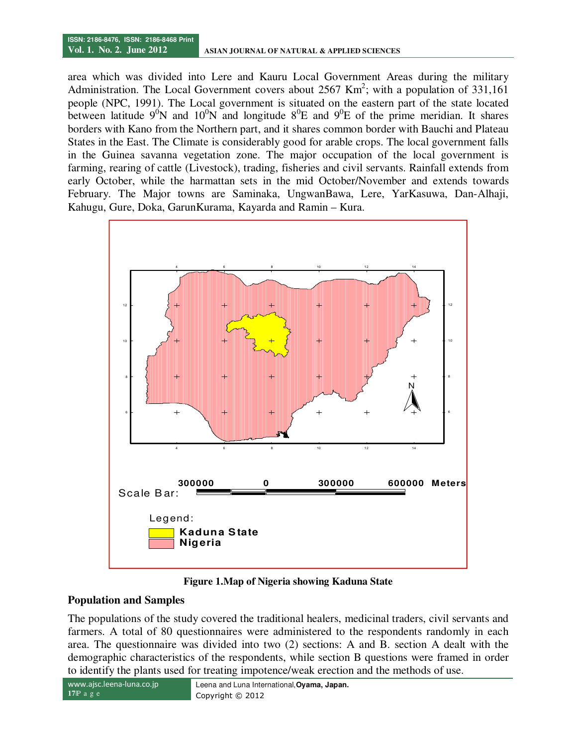area which was divided into Lere and Kauru Local Government Areas during the military Administration. The Local Government covers about 2567 Km<sup>2</sup>; with a population of 331,161 people (NPC, 1991). The Local government is situated on the eastern part of the state located between latitude  $9^0N$  and  $10^0N$  and longitude  $8^0E$  and  $9^0E$  of the prime meridian. It shares borders with Kano from the Northern part, and it shares common border with Bauchi and Plateau States in the East. The Climate is considerably good for arable crops. The local government falls in the Guinea savanna vegetation zone. The major occupation of the local government is farming, rearing of cattle (Livestock), trading, fisheries and civil servants. Rainfall extends from early October, while the harmattan sets in the mid October/November and extends towards February. The Major towns are Saminaka, UngwanBawa, Lere, YarKasuwa, Dan-Alhaji, Kahugu, Gure, Doka, GarunKurama, Kayarda and Ramin – Kura.



**Figure 1.Map of Nigeria showing Kaduna State** 

# **Population and Samples**

The populations of the study covered the traditional healers, medicinal traders, civil servants and farmers. A total of 80 questionnaires were administered to the respondents randomly in each area. The questionnaire was divided into two (2) sections: A and B. section A dealt with the demographic characteristics of the respondents, while section B questions were framed in order to identify the plants used for treating impotence/weak erection and the methods of use.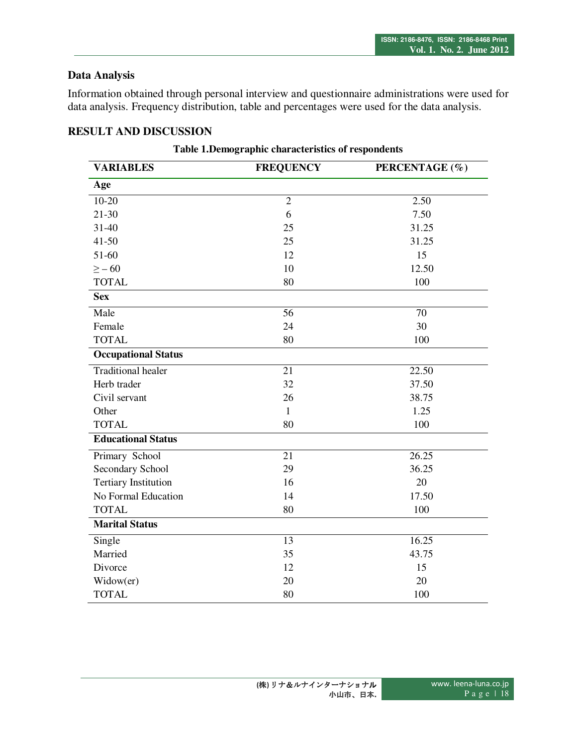# **Data Analysis**

Information obtained through personal interview and questionnaire administrations were used for data analysis. Frequency distribution, table and percentages were used for the data analysis.

# **RESULT AND DISCUSSION**

| <b>VARIABLES</b>            | <b>FREQUENCY</b> | PERCENTAGE (%) |
|-----------------------------|------------------|----------------|
| Age                         |                  |                |
| $10-20$                     | $\overline{2}$   | 2.50           |
| $21 - 30$                   | 6                | 7.50           |
| $31 - 40$                   | 25               | 31.25          |
| $41 - 50$                   | 25               | 31.25          |
| 51-60                       | 12               | 15             |
| $\geq -60$                  | 10               | 12.50          |
| <b>TOTAL</b>                | 80               | 100            |
| <b>Sex</b>                  |                  |                |
| Male                        | 56               | 70             |
| Female                      | 24               | 30             |
| <b>TOTAL</b>                | 80               | 100            |
| <b>Occupational Status</b>  |                  |                |
| <b>Traditional healer</b>   | 21               | 22.50          |
| Herb trader                 | 32               | 37.50          |
| Civil servant               | 26               | 38.75          |
| Other                       | $\mathbf{1}$     | 1.25           |
| <b>TOTAL</b>                | 80               | 100            |
| <b>Educational Status</b>   |                  |                |
| Primary School              | 21               | 26.25          |
| Secondary School            | 29               | 36.25          |
| <b>Tertiary Institution</b> | 16               | 20             |
| No Formal Education         | 14               | 17.50          |
| <b>TOTAL</b>                | 80               | 100            |
| <b>Marital Status</b>       |                  |                |
| Single                      | 13               | 16.25          |
| Married                     | 35               | 43.75          |
| Divorce                     | 12               | 15             |
| Widow(er)                   | 20               | 20             |
| <b>TOTAL</b>                | 80               | 100            |

#### **Table 1.Demographic characteristics of respondents**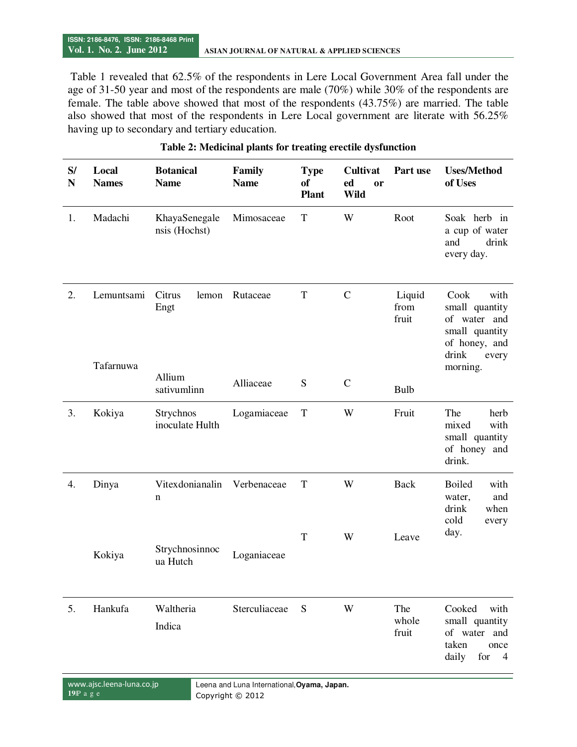Table 1 revealed that 62.5% of the respondents in Lere Local Government Area fall under the age of 31-50 year and most of the respondents are male (70%) while 30% of the respondents are female. The table above showed that most of the respondents (43.75%) are married. The table also showed that most of the respondents in Lere Local government are literate with 56.25% having up to secondary and tertiary education.

| S/<br>$\mathbf N$ | Local<br><b>Names</b>   | <b>Botanical</b><br><b>Name</b> | Family<br><b>Name</b> | <b>Type</b><br><b>of</b><br><b>Plant</b> | <b>Cultivat</b><br>ed<br>or<br>Wild | Part use                | <b>Uses/Method</b><br>of Uses                                                                                   |
|-------------------|-------------------------|---------------------------------|-----------------------|------------------------------------------|-------------------------------------|-------------------------|-----------------------------------------------------------------------------------------------------------------|
| 1.                | Madachi                 | KhayaSenegale<br>nsis (Hochst)  | Mimosaceae            | $\mathbf T$                              | W                                   | Root                    | Soak herb in<br>a cup of water<br>and<br>drink<br>every day.                                                    |
| 2.                | Lemuntsami<br>Tafarnuwa | Citrus<br>lemon<br>Engt         | Rutaceae              | $\mathbf T$                              | $\mathcal{C}$                       | Liquid<br>from<br>fruit | Cook<br>with<br>small quantity<br>of water and<br>small quantity<br>of honey, and<br>drink<br>every<br>morning. |
|                   |                         | Allium<br>sativumlinn           | Alliaceae             | ${\bf S}$                                | $\mathbf C$                         | <b>Bulb</b>             |                                                                                                                 |
| 3.                | Kokiya                  | Strychnos<br>inoculate Hulth    | Logamiaceae           | $\mathbf T$                              | W                                   | Fruit                   | The<br>herb<br>with<br>mixed<br>small quantity<br>of honey and<br>drink.                                        |
| 4.                | Dinya                   | Vitexdonianalin<br>n            | Verbenaceae           | $\mathbf T$                              | W                                   | <b>Back</b>             | <b>Boiled</b><br>with<br>and<br>water,<br>drink<br>when<br>cold<br>every                                        |
|                   | Kokiya                  | Strychnosinnoc<br>ua Hutch      | Loganiaceae           | $\mathbf T$                              | W                                   | Leave                   | day.                                                                                                            |
| 5.                | Hankufa                 | Waltheria<br>Indica             | Sterculiaceae         | S                                        | W                                   | The<br>whole<br>fruit   | Cooked<br>with<br>small quantity<br>of water and<br>taken<br>once<br>daily<br>for<br>$\overline{4}$             |

#### **Table 2: Medicinal plants for treating erectile dysfunction**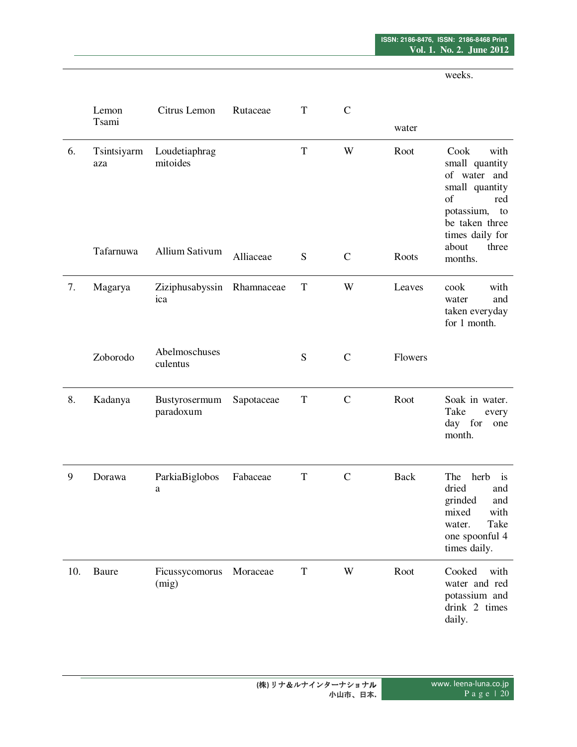weeks.

|     | Lemon<br>Tsami     | Citrus Lemon                   | Rutaceae   | $\mathbf T$ | $\mathcal{C}$ |             |                                                                                                                                     |
|-----|--------------------|--------------------------------|------------|-------------|---------------|-------------|-------------------------------------------------------------------------------------------------------------------------------------|
|     |                    |                                |            |             |               | water       |                                                                                                                                     |
| 6.  | Tsintsiyarm<br>aza | Loudetiaphrag<br>mitoides      |            | T           | W             | Root        | Cook<br>with<br>small quantity<br>of water and<br>small quantity<br>of<br>red<br>potassium, to<br>be taken three<br>times daily for |
|     | Tafarnuwa          | Allium Sativum                 | Alliaceae  | S           | $\mathbf C$   | Roots       | about<br>three<br>months.                                                                                                           |
| 7.  | Magarya            | Ziziphusabyssin<br>ica         | Rhamnaceae | T           | W             | Leaves      | cook<br>with<br>and<br>water<br>taken everyday<br>for 1 month.                                                                      |
|     | Zoborodo           | Abelmoschuses<br>culentus      |            | S           | $\mathbf C$   | Flowers     |                                                                                                                                     |
| 8.  | Kadanya            | Bustyrosermum<br>paradoxum     | Sapotaceae | $\mathbf T$ | $\mathbf C$   | Root        | Soak in water.<br>Take<br>every<br>day for<br>one<br>month.                                                                         |
| 9   | Dorawa             | ParkiaBiglobos<br>$\mathbf{a}$ | Fabaceae   | $\mathbf T$ | $\mathbf C$   | <b>Back</b> | The<br>herb is<br>dried<br>and<br>grinded<br>and<br>mixed<br>with<br>Take<br>water.<br>one spoonful 4<br>times daily.               |
| 10. | Baure              | Ficussycomorus<br>(mig)        | Moraceae   | ${\bf T}$   | W             | Root        | Cooked<br>with<br>water and red<br>potassium and<br>drink 2 times<br>daily.                                                         |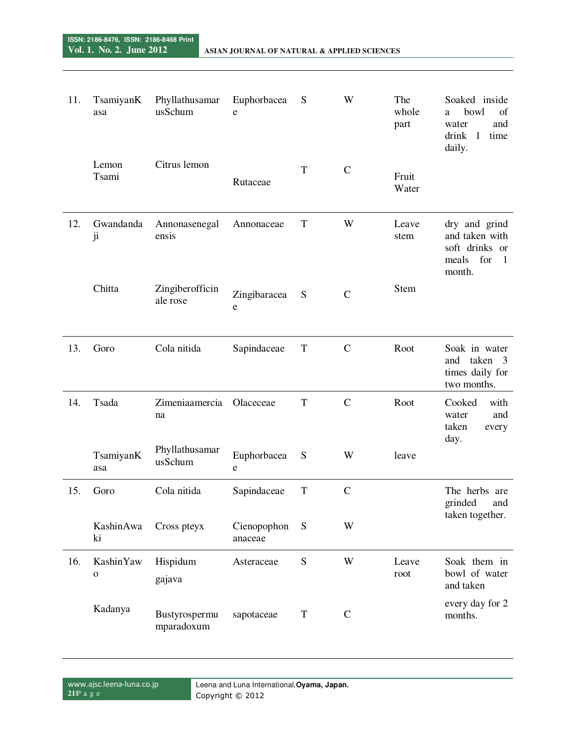| 11. | TsamiyanK<br>asa          | Phyllathusamar<br>usSchum   | Euphorbacea<br>${\bf e}$    | S           | W            | The<br>whole<br>part | Soaked inside<br>bowl<br>of<br>a<br>water<br>and<br>drink<br>$\mathbf{1}$<br>time<br>daily. |
|-----|---------------------------|-----------------------------|-----------------------------|-------------|--------------|----------------------|---------------------------------------------------------------------------------------------|
|     | Lemon<br>Tsami            | Citrus lemon                | Rutaceae                    | $\mathbf T$ | $\mathbf C$  | Fruit<br>Water       |                                                                                             |
| 12. | Gwandanda<br>ji           | Annonasenegal<br>ensis      | Annonaceae                  | $\mathbf T$ | W            | Leave<br>stem        | dry and grind<br>and taken with<br>soft drinks or<br>meals<br>for<br>-1<br>month.           |
|     | Chitta                    | Zingiberofficin<br>ale rose | Zingibaracea<br>$\mathbf e$ | S           | $\mathbf C$  | <b>Stem</b>          |                                                                                             |
| 13. | Goro                      | Cola nitida                 | Sapindaceae                 | $\mathbf T$ | $\mathbf C$  | Root                 | Soak in water<br>and taken<br>- 3<br>times daily for<br>two months.                         |
| 14. | Tsada                     | Zimeniaamercia<br>na        | Olaceceae                   | $\mathbf T$ | $\mathsf{C}$ | Root                 | Cooked<br>with<br>and<br>water<br>taken<br>every<br>day.                                    |
|     | TsamiyanK<br>asa          | Phyllathusamar<br>usSchum   | Euphorbacea<br>${\bf e}$    | S           | W            | leave                |                                                                                             |
| 15. | Goro                      | Cola nitida                 | Sapindaceae                 | $\mathbf T$ | $\mathbf C$  |                      | The herbs are<br>grinded<br>and                                                             |
|     | KashinAwa<br>ki           | Cross pteyx                 | Cienopophon<br>anaceae      | ${\bf S}$   | W            |                      | taken together.                                                                             |
| 16. | KashinYaw<br>$\mathbf{o}$ | Hispidum<br>gajava          | Asteraceae                  | ${\bf S}$   | W            | Leave<br>root        | Soak them in<br>bowl of water<br>and taken                                                  |
|     | Kadanya                   | Bustyrospermu<br>mparadoxum | sapotaceae                  | $\mathbf T$ | $\mathbf C$  |                      | every day for 2<br>months.                                                                  |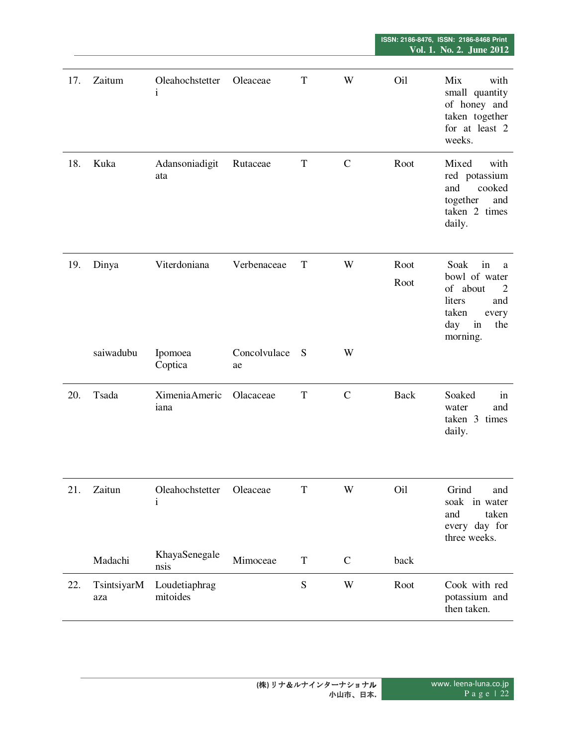| 17. | Zaitum    | Oleahochstetter<br>$\mathbf{i}$ | Oleaceae           | T           | W           | Oil             | Mix<br>with<br>small quantity<br>of honey and<br>taken together<br>for at least 2<br>weeks.                          |
|-----|-----------|---------------------------------|--------------------|-------------|-------------|-----------------|----------------------------------------------------------------------------------------------------------------------|
| 18. | Kuka      | Adansoniadigit<br>ata           | Rutaceae           | $\mathbf T$ | $\mathbf C$ | Root            | Mixed<br>with<br>red potassium<br>and<br>cooked<br>together<br>and<br>taken 2 times<br>daily.                        |
| 19. | Dinya     | Viterdoniana                    | Verbenaceae        | T           | W           | Root<br>Root    | Soak<br>in<br>a<br>bowl of water<br>of about<br>2<br>liters<br>and<br>taken<br>every<br>day<br>in<br>the<br>morning. |
|     | saiwadubu | Ipomoea<br>Coptica              | Concolvulace<br>ae | S           | W           |                 |                                                                                                                      |
| 20. | Tsada     | Ximenia Americ<br>iana          | Olacaceae          | $\mathbf T$ | $\mathbf C$ | <b>Back</b>     | Soaked<br>in<br>water<br>and<br>taken 3 times<br>daily.                                                              |
| 21. | Zaitun    | Oleahochstetter<br>$\mathbf{i}$ | Oleaceae           | T           | W           | O <sub>il</sub> | Grind<br>and<br>soak in water<br>and<br>taken<br>every day for                                                       |
|     |           |                                 |                    |             |             |                 | three weeks.                                                                                                         |
|     | Madachi   | KhayaSenegale<br>nsis           | Mimoceae           | $\mathbf T$ | $\mathbf C$ | back            |                                                                                                                      |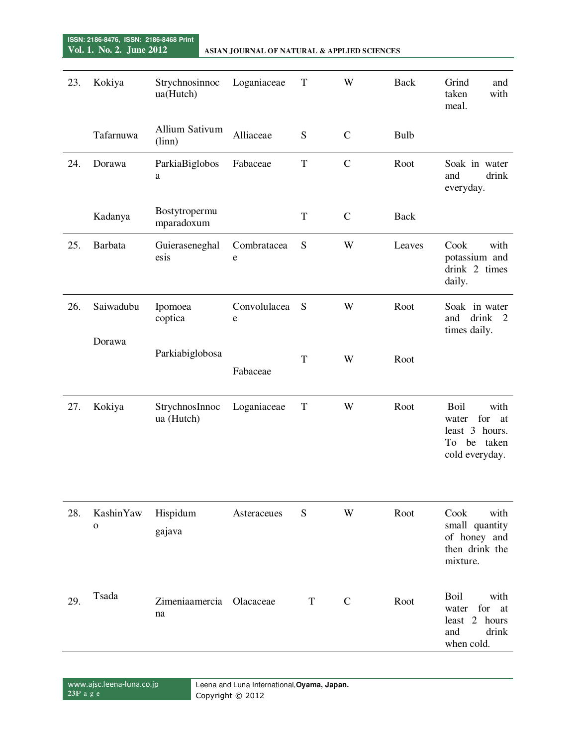**ISSN: 2186-8476, ISSN: 2186-8468 Print** 

| 23. | Kokiya                   | Strychnosinnoc<br>ua(Hutch)    | Loganiaceae       | T           | W            | <b>Back</b> | Grind<br>and<br>taken<br>with<br>meal.                                                |
|-----|--------------------------|--------------------------------|-------------------|-------------|--------------|-------------|---------------------------------------------------------------------------------------|
|     | Tafarnuwa                | Allium Sativum<br>(linn)       | Alliaceae         | ${\bf S}$   | $\mathbf C$  | Bulb        |                                                                                       |
| 24. | Dorawa                   | ParkiaBiglobos<br>a            | Fabaceae          | T           | $\mathbf C$  | Root        | Soak in water<br>and<br>drink<br>everyday.                                            |
|     | Kadanya                  | Bostytropermu<br>mparadoxum    |                   | T           | $\mathbf C$  | <b>Back</b> |                                                                                       |
| 25. | <b>Barbata</b>           | Guieraseneghal<br>esis         | Combratacea<br>e  | S           | W            | Leaves      | Cook<br>with<br>potassium and<br>drink 2 times<br>daily.                              |
| 26. | Saiwadubu                | Ipomoea<br>coptica             | Convolulacea<br>e | S           | W            | Root        | Soak in water<br>drink<br>and<br>$\overline{2}$<br>times daily.                       |
|     | Dorawa                   | Parkiabiglobosa                | Fabaceae          | $\mathbf T$ | W            | Root        |                                                                                       |
| 27. | Kokiya                   | StrychnosInnoc<br>ua (Hutch)   | Loganiaceae       | $\mathbf T$ | W            | Root        | Boil<br>with<br>for<br>water<br>at<br>least 3 hours.<br>To be taken<br>cold everyday. |
| 28. | KashinYaw<br>$\mathbf O$ | Hispidum<br>gajava             | Asteraceues       | S           | W            | Root        | Cook<br>with<br>small quantity<br>of honey and<br>then drink the<br>mixture.          |
| 29. | Tsada                    | Zimeniaamercia Olacaceae<br>na |                   | T           | $\mathsf{C}$ | Root        | Boil<br>with<br>for<br>water<br>at<br>least 2 hours<br>and<br>drink<br>when cold.     |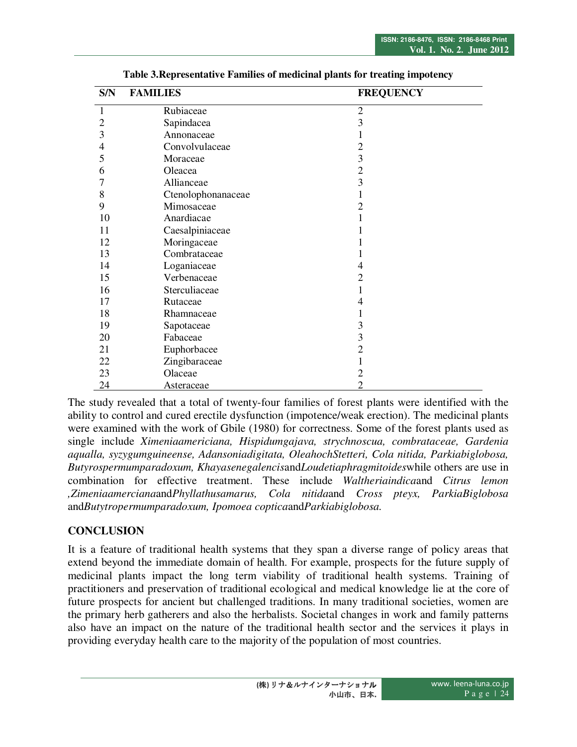| S/N            | <b>FAMILIES</b>    | <b>FREQUENCY</b> |
|----------------|--------------------|------------------|
| 1              | Rubiaceae          | $\overline{2}$   |
| $\overline{2}$ | Sapindacea         | 3                |
| $\overline{3}$ | Annonaceae         | 1                |
| 4              | Convolvulaceae     | $\overline{2}$   |
| 5              | Moraceae           | 3                |
| 6              | Oleacea            | $\overline{2}$   |
| 7              | Allianceae         | 3                |
| 8              | Ctenolophonanaceae |                  |
| 9              | Mimosaceae         | 2                |
| 10             | Anardiacae         |                  |
| 11             | Caesalpiniaceae    |                  |
| 12             | Moringaceae        |                  |
| 13             | Combrataceae       |                  |
| 14             | Loganiaceae        | 4                |
| 15             | Verbenaceae        | 2                |
| 16             | Sterculiaceae      | 1                |
| 17             | Rutaceae           | 4                |
| 18             | Rhamnaceae         |                  |
| 19             | Sapotaceae         | 3                |
| 20             | Fabaceae           | 3                |
| 21             | Euphorbacee        | $\overline{2}$   |
| 22             | Zingibaraceae      |                  |
| 23             | Olaceae            | 2                |
| 24             | <b>Asteraceae</b>  | 2                |

**Table 3.Representative Families of medicinal plants for treating impotency** 

The study revealed that a total of twenty-four families of forest plants were identified with the ability to control and cured erectile dysfunction (impotence/weak erection). The medicinal plants were examined with the work of Gbile (1980) for correctness. Some of the forest plants used as single include *Ximeniaamericiana, Hispidumgajava, strychnoscua, combrataceae, Gardenia aqualla, syzygumguineense, Adansoniadigitata, OleahochStetteri, Cola nitida, Parkiabiglobosa, Butyrospermumparadoxum, Khayasenegalencis*and*Loudetiaphragmitoides*while others are use in combination for effective treatment. These include *Waltheriaindica*and *Citrus lemon ,Zimeniaamerciana*and*Phyllathusamarus, Cola nitida*and *Cross pteyx, ParkiaBiglobosa* and*Butytropermumparadoxum, Ipomoea coptica*and*Parkiabiglobosa.* 

# **CONCLUSION**

It is a feature of traditional health systems that they span a diverse range of policy areas that extend beyond the immediate domain of health. For example, prospects for the future supply of medicinal plants impact the long term viability of traditional health systems. Training of practitioners and preservation of traditional ecological and medical knowledge lie at the core of future prospects for ancient but challenged traditions. In many traditional societies, women are the primary herb gatherers and also the herbalists. Societal changes in work and family patterns also have an impact on the nature of the traditional health sector and the services it plays in providing everyday health care to the majority of the population of most countries.